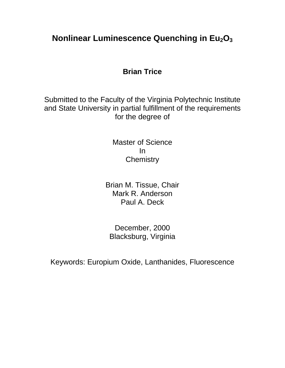## **Nonlinear Luminescence Quenching in Eu2O<sup>3</sup>**

### **Brian Trice**

Submitted to the Faculty of the Virginia Polytechnic Institute and State University in partial fulfillment of the requirements for the degree of

> Master of Science In **Chemistry**

Brian M. Tissue, Chair Mark R. Anderson Paul A. Deck

December, 2000 Blacksburg, Virginia

Keywords: Europium Oxide, Lanthanides, Fluorescence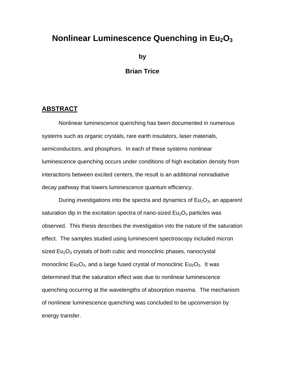### **Nonlinear Luminescence Quenching in Eu2O<sup>3</sup>**

**by**

#### **Brian Trice**

#### **ABSTRACT**

Nonlinear luminescence quenching has been documented in numerous systems such as organic crystals, rare earth insulators, laser materials, semiconductors, and phosphors. In each of these systems nonlinear luminescence quenching occurs under conditions of high excitation density from interactions between excited centers, the result is an additional nonradiative decay pathway that lowers luminescence quantum efficiency.

During investigations into the spectra and dynamics of  $Eu<sub>2</sub>O<sub>3</sub>$ , an apparent saturation dip in the excitation spectra of nano-sized  $Eu<sub>2</sub>O<sub>3</sub>$  particles was observed. This thesis describes the investigation into the nature of the saturation effect. The samples studied using luminescent spectroscopy included micron sized  $Eu<sub>2</sub>O<sub>3</sub>$  crystals of both cubic and monoclinic phases, nanocrystal monoclinic  $Eu_2O_3$ , and a large fused crystal of monoclinic  $Eu_2O_3$ . It was determined that the saturation effect was due to nonlinear luminescence quenching occurring at the wavelengths of absorption maxima. The mechanism of nonlinear luminescence quenching was concluded to be upconversion by energy transfer.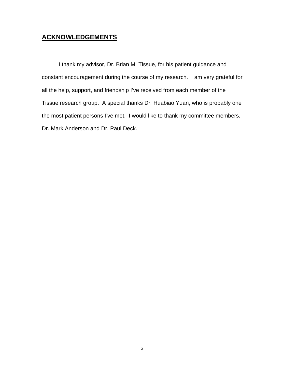### **ACKNOWLEDGEMENTS**

I thank my advisor, Dr. Brian M. Tissue, for his patient guidance and constant encouragement during the course of my research. I am very grateful for all the help, support, and friendship I've received from each member of the Tissue research group. A special thanks Dr. Huabiao Yuan, who is probably one the most patient persons I've met. I would like to thank my committee members, Dr. Mark Anderson and Dr. Paul Deck.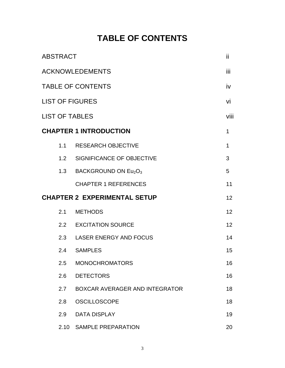## **TABLE OF CONTENTS**

| <b>ABSTRACT</b>                     |                                |              |
|-------------------------------------|--------------------------------|--------------|
| <b>ACKNOWLEDEMENTS</b>              |                                | Ϊij          |
| <b>TABLE OF CONTENTS</b>            |                                | iv           |
| <b>LIST OF FIGURES</b>              |                                | vi           |
| <b>LIST OF TABLES</b>               |                                | viii         |
|                                     | <b>CHAPTER 1 INTRODUCTION</b>  | $\mathbf 1$  |
|                                     | 1.1 RESEARCH OBJECTIVE         | $\mathbf{1}$ |
|                                     | 1.2 SIGNIFICANCE OF OBJECTIVE  | 3            |
|                                     | 1.3 BACKGROUND ON $Eu_2O_3$    | 5            |
|                                     | <b>CHAPTER 1 REFERENCES</b>    | 11           |
| <b>CHAPTER 2 EXPERIMENTAL SETUP</b> |                                | 12           |
| 2.1                                 | <b>METHODS</b>                 | 12           |
|                                     | 2.2 EXCITATION SOURCE          | 12           |
|                                     | 2.3 LASER ENERGY AND FOCUS     | 14           |
|                                     | 2.4 SAMPLES                    | 15           |
| 2.5                                 | <b>MONOCHROMATORS</b>          | 16           |
| 2.6                                 | <b>DETECTORS</b>               | 16           |
| 2.7                                 | BOXCAR AVERAGER AND INTEGRATOR | 18           |
| 2.8                                 | <b>OSCILLOSCOPE</b>            | 18           |
| 2.9                                 | <b>DATA DISPLAY</b>            | 19           |
| 2.10                                | SAMPLE PREPARATION             | 20           |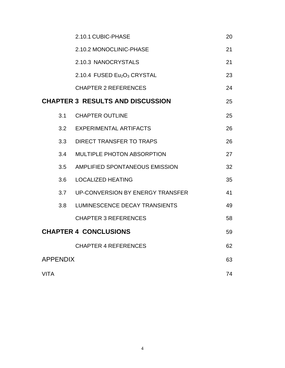|                              | 2.10.1 CUBIC-PHASE                                  | 20 |
|------------------------------|-----------------------------------------------------|----|
|                              | 2.10.2 MONOCLINIC-PHASE                             | 21 |
|                              | 2.10.3 NANOCRYSTALS                                 | 21 |
|                              | 2.10.4 FUSED Eu <sub>2</sub> O <sub>3</sub> CRYSTAL | 23 |
|                              | <b>CHAPTER 2 REFERENCES</b>                         | 24 |
|                              | <b>CHAPTER 3 RESULTS AND DISCUSSION</b>             | 25 |
| 3.1                          | <b>CHAPTER OUTLINE</b>                              | 25 |
| 3.2                          | <b>EXPERIMENTAL ARTIFACTS</b>                       | 26 |
| 3.3                          | <b>DIRECT TRANSFER TO TRAPS</b>                     | 26 |
| 3.4                          | <b>MULTIPLE PHOTON ABSORPTION</b>                   | 27 |
| 3.5                          | AMPLIFIED SPONTANEOUS EMISSION                      | 32 |
| 3.6                          | <b>LOCALIZED HEATING</b>                            | 35 |
|                              | 3.7 UP-CONVERSION BY ENERGY TRANSFER                | 41 |
| 3.8                          | LUMINESCENCE DECAY TRANSIENTS                       | 49 |
|                              | <b>CHAPTER 3 REFERENCES</b>                         | 58 |
| <b>CHAPTER 4 CONCLUSIONS</b> |                                                     | 59 |
|                              | <b>CHAPTER 4 REFERENCES</b>                         | 62 |
| <b>APPENDIX</b>              |                                                     | 63 |
| <b>VITA</b>                  |                                                     | 74 |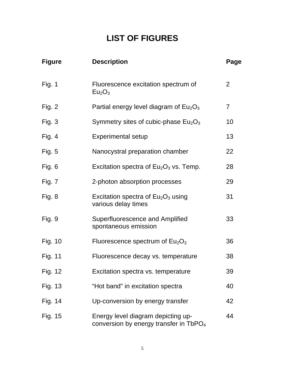# **LIST OF FIGURES**

| <b>Figure</b>  | <b>Description</b>                                                                       | Page           |
|----------------|------------------------------------------------------------------------------------------|----------------|
| Fig. 1         | Fluorescence excitation spectrum of<br>Eu <sub>2</sub> O <sub>3</sub>                    | 2              |
| Fig. $2$       | Partial energy level diagram of $Eu2O3$                                                  | $\overline{7}$ |
| Fig. $3$       | Symmetry sites of cubic-phase $Eu2O3$                                                    | 10             |
| Fig. 4         | <b>Experimental setup</b>                                                                | 13             |
| Fig. $5$       | Nanocystral preparation chamber                                                          | 22             |
| Fig. 6         | Excitation spectra of $Eu2O3$ vs. Temp.                                                  | 28             |
| Fig. 7         | 2-photon absorption processes                                                            | 29             |
| Fig. 8         | Excitation spectra of $Eu2O3$ using<br>various delay times                               | 31             |
| Fig. 9         | Superfluorescence and Amplified<br>spontaneous emission                                  | 33             |
| <b>Fig. 10</b> | Fluorescence spectrum of $Eu2O3$                                                         | 36             |
| Fig. 11        | Fluorescence decay vs. temperature                                                       | 38             |
| Fig. 12        | Excitation spectra vs. temperature                                                       | 39             |
| Fig. 13        | "Hot band" in excitation spectra                                                         | 40             |
| Fig. 14        | Up-conversion by energy transfer                                                         | 42             |
| Fig. 15        | Energy level diagram depicting up-<br>conversion by energy transfer in TbPO <sub>4</sub> | 44             |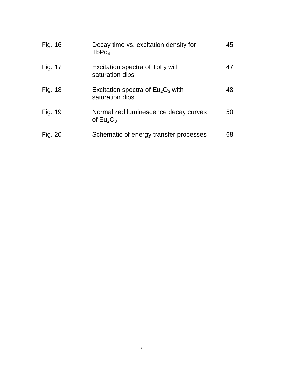| Fig. 16 | Decay time vs. excitation density for<br>TbPo <sub>4</sub>     | 45 |
|---------|----------------------------------------------------------------|----|
| Fig. 17 | Excitation spectra of $\mathsf{TbF}_3$ with<br>saturation dips | 47 |
| Fig. 18 | Excitation spectra of $Eu2O3$ with<br>saturation dips          | 48 |
| Fig. 19 | Normalized luminescence decay curves<br>of $Eu_2O_3$           | 50 |
| Fig. 20 | Schematic of energy transfer processes                         | 68 |